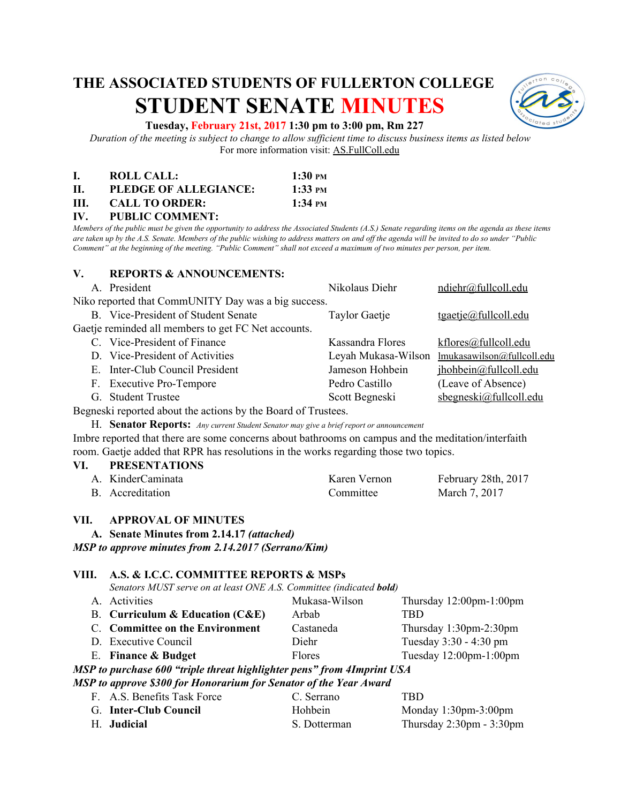# **THE ASSOCIATED STUDENTS OF FULLERTON COLLEGE STUDENT SENATE MINUTES**



#### **Tuesday, February 21st, 2017 1:30 pm to 3:00 pm, Rm 227**

*Duration of the meeting is subject to change to allow sufficient time to discuss business items as listed below* For more information visit: AS.FullColl.edu

|      | ROLL CALL:            | $1:30 \text{ }$ PM          |
|------|-----------------------|-----------------------------|
| Н.   | PLEDGE OF ALLEGIANCE: | $1:33 \text{ }$ PM          |
| III. | <b>CALL TO ORDER:</b> | $1:34 \text{ }^{\text{PM}}$ |

**IV. PUBLIC COMMENT:**

*Members of the public must be given the opportunity to address the Associated Students (A.S.) Senate regarding items on the agenda as these items are taken up by the A.S. Senate. Members of the public wishing to address matters on and off the agenda will be invited to do so under "Public Comment" at the beginning of the meeting. "Public Comment" shall not exceed a maximum of two minutes per person, per item.*

#### **V. REPORTS & ANNOUNCEMENTS:**

|                                                     | A. President                        | Nikolaus Diehr       | ndiehr@fullcoll.edu                            |
|-----------------------------------------------------|-------------------------------------|----------------------|------------------------------------------------|
| Niko reported that CommUNITY Day was a big success. |                                     |                      |                                                |
|                                                     | B. Vice-President of Student Senate | <b>Taylor Gaetje</b> | $t$ gaetje@fullcoll.edu                        |
| Gaetje reminded all members to get FC Net accounts. |                                     |                      |                                                |
|                                                     | C. Vice-President of Finance        | Kassandra Flores     | kflores@fullcoll.edu                           |
|                                                     | D. Vice-President of Activities     |                      | Leyah Mukasa-Wilson lmukasawilson@fullcoll.edu |
|                                                     | E. Inter-Club Council President     | Jameson Hohbein      | jhohbein@fullcoll.edu                          |
|                                                     | F. Executive Pro-Tempore            | Pedro Castillo       | (Leave of Absence)                             |
|                                                     | G. Student Trustee                  | Scott Begneski       | $s$ begneski@fullcoll.edu                      |

Begneski reported about the actions by the Board of Trustees.

H. **Senator Reports:**  *Any current Student Senator may give a brief report or announcement*

Imbre reported that there are some concerns about bathrooms on campus and the meditation/interfaith room. Gaetje added that RPR has resolutions in the works regarding those two topics.

| VI. | <b>PRESENTATIONS</b> |              |                     |
|-----|----------------------|--------------|---------------------|
|     | A. KinderCaminata    | Karen Vernon | February 28th, 2017 |
|     | B. Accreditation     | Committee    | March 7, 2017       |

#### **VII. APPROVAL OF MINUTES**

**A. Senate Minutes from 2.14.17** *(attached)*

*MSP to approve minutes from 2.14.2017 (Serrano/Kim)*

#### **VIII. A.S. & I.C.C. COMMITTEE REPORTS & MSPs**

*Senators MUST serve on at least ONE A.S. Committee (indicated bold)* 

|                                                                    | A. Activities                     | Mukasa-Wilson | Thursday $12:00$ pm- $1:00$ pm |
|--------------------------------------------------------------------|-----------------------------------|---------------|--------------------------------|
|                                                                    | B. Curriculum & Education $(CAE)$ | Arbab         | TBD                            |
|                                                                    | C. Committee on the Environment   | Castaneda     | Thursday $1:30$ pm- $2:30$ pm  |
|                                                                    | D. Executive Council              | Diehr         | Tuesday $3:30 - 4:30$ pm       |
|                                                                    | E. Finance & Budget               | <b>Flores</b> | Tuesday $12:00$ pm- $1:00$ pm  |
| n to numbered the Guintedunet bioldichten neuell fuom Almoniat HCA |                                   |               |                                |

*MSP to purchase 600 "triple threat highlighter pens" from 4Imprint USA*

| MSP to approve \$300 for Honorarium for Senator of the Year Award |             |      |
|-------------------------------------------------------------------|-------------|------|
| A C. Donafite Took Force                                          | $C$ Sarrono | TRD. |

| F. A.S. Benefits Task Force | U. Serrano   | TBD.                                       |
|-----------------------------|--------------|--------------------------------------------|
| G. Inter-Club Council       | Hohbein      | Monday $1:30$ pm- $3:00$ pm                |
| <b>H. Judicial</b>          | S. Dotterman | Thursday $2:30 \text{pm} - 3:30 \text{pm}$ |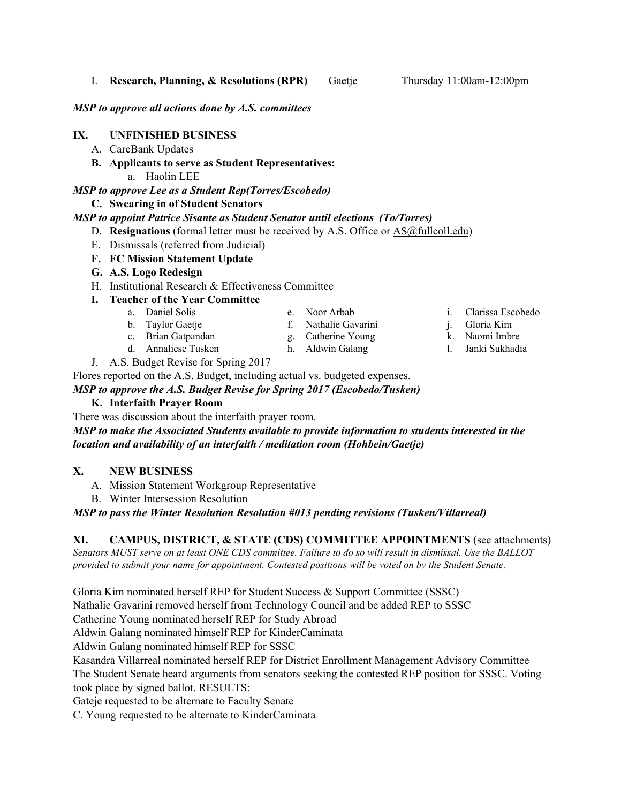I. **Research, Planning, & Resolutions (RPR)** Gaetje Thursday 11:00am-12:00pm

*MSP to approve all actions done by A.S. committees*

# **IX. UNFINISHED BUSINESS**

- A. CareBank Updates
- **B. Applicants to serve as Student Representatives:**
	- a. Haolin LEE

# *MSP to approve Lee as a Student Rep(Torres/Escobedo)*

# **C. Swearing in of Student Senators**

# *MSP to appoint Patrice Sisante as Student Senator until elections (To/Torres)*

- D. **Resignations** (formal letter must be received by A.S. Office or [AS@fullcoll.edu\)](mailto:AS@fullcoll.edu)
- E. Dismissals (referred from Judicial)
- **F. FC Mission Statement Update**
- **G. A.S. Logo Redesign**
- H. Institutional Research & Effectiveness Committee
- **I. Teacher of the Year Committee**
	- a. Daniel Solis
	- b. Taylor Gaetje
	- c. Brian Gatpandan
	- d. Annaliese Tusken
- g. Catherine Young

e. Noor Arbab f. Nathalie Gavarini

- h. Aldwin Galang
- i. Clarissa Escobedo j. Gloria Kim
- k. Naomi Imbre
- l. Janki Sukhadia

J. A.S. Budget Revise for Spring 2017

Flores reported on the A.S. Budget, including actual vs. budgeted expenses.

*MSP to approve the A.S. Budget Revise for Spring 2017 (Escobedo/Tusken)*

### **K. Interfaith Prayer Room**

There was discussion about the interfaith prayer room.

*MSP to make the Associated Students available to provide information to students interested in the location and availability of an interfaith / meditation room (Hohbein/Gaetje)*

# **X. NEW BUSINESS**

- A. Mission Statement Workgroup Representative
- B. Winter Intersession Resolution

*MSP to pass the Winter Resolution Resolution #013 pending revisions (Tusken/Villarreal)*

## **XI. CAMPUS, DISTRICT, & STATE (CDS) COMMITTEE APPOINTMENTS** ( see attachments)

*Senators MUST serve on at least ONE CDS committee. Failure to do so will result in dismissal. Use the BALLOT provided to submit your name for appointment. Contested positions will be voted on by the Student Senate.*

Gloria Kim nominated herself REP for Student Success & Support Committee (SSSC)

Nathalie Gavarini removed herself from Technology Council and be added REP to SSSC

Catherine Young nominated herself REP for Study Abroad

Aldwin Galang nominated himself REP for KinderCaminata

Aldwin Galang nominated himself REP for SSSC

Kasandra Villarreal nominated herself REP for District Enrollment Management Advisory Committee The Student Senate heard arguments from senators seeking the contested REP position for SSSC. Voting took place by signed ballot. RESULTS:

Gateje requested to be alternate to Faculty Senate

C. Young requested to be alternate to KinderCaminata